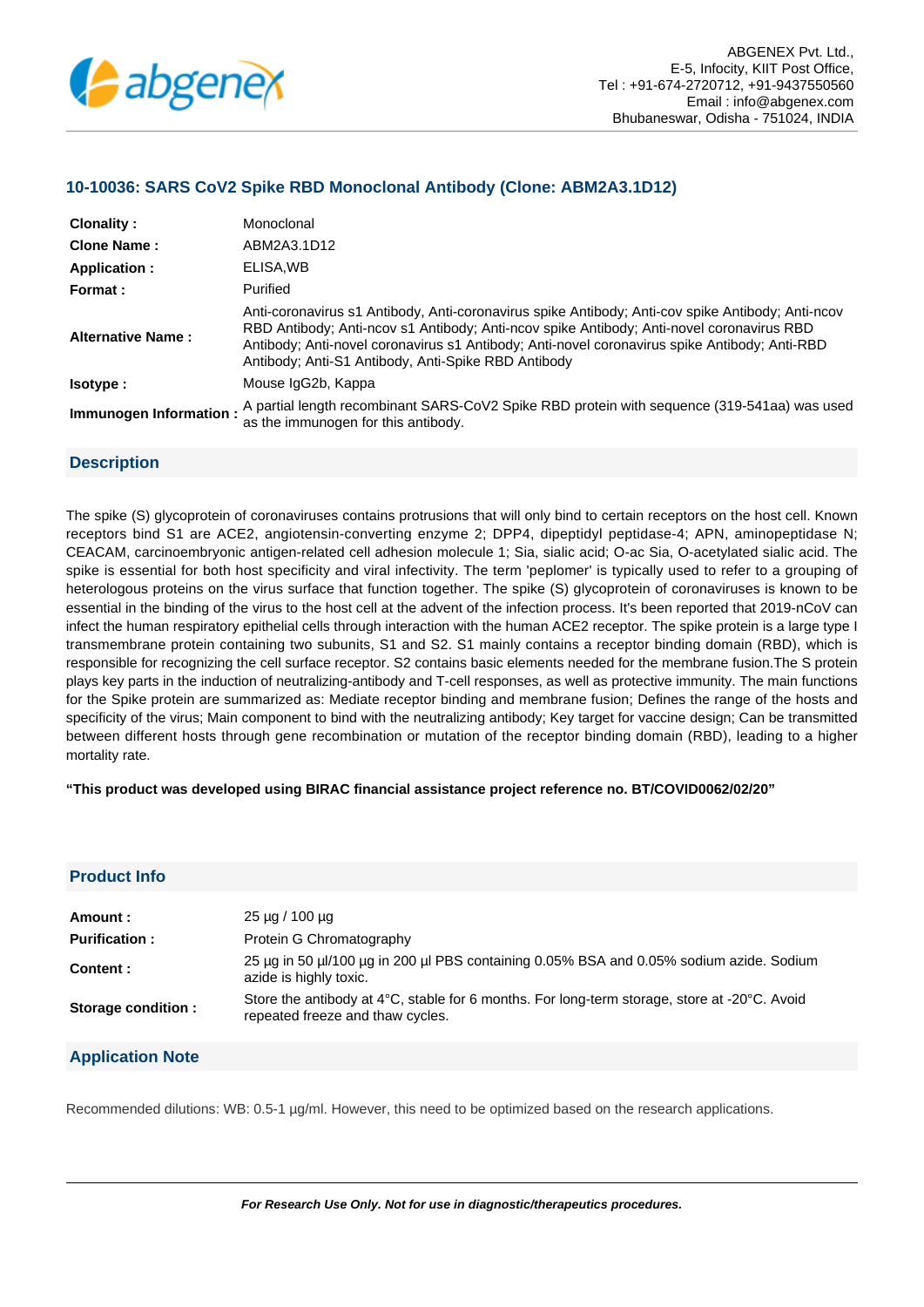

# **10-10036: SARS CoV2 Spike RBD Monoclonal Antibody (Clone: ABM2A3.1D12)**

| Clonality:               | Monoclonal                                                                                                                                                                                                                                                                                                                                             |
|--------------------------|--------------------------------------------------------------------------------------------------------------------------------------------------------------------------------------------------------------------------------------------------------------------------------------------------------------------------------------------------------|
| <b>Clone Name:</b>       | ABM2A3.1D12                                                                                                                                                                                                                                                                                                                                            |
| Application :            | ELISA, WB                                                                                                                                                                                                                                                                                                                                              |
| Format:                  | Purified                                                                                                                                                                                                                                                                                                                                               |
| <b>Alternative Name:</b> | Anti-coronavirus s1 Antibody, Anti-coronavirus spike Antibody; Anti-cov spike Antibody; Anti-ncov<br>RBD Antibody; Anti-ncov s1 Antibody; Anti-ncov spike Antibody; Anti-novel coronavirus RBD<br>Antibody; Anti-novel coronavirus s1 Antibody; Anti-novel coronavirus spike Antibody; Anti-RBD<br>Antibody; Anti-S1 Antibody, Anti-Spike RBD Antibody |
| lsotype:                 | Mouse IgG2b, Kappa                                                                                                                                                                                                                                                                                                                                     |
| Immunogen Information:   | A partial length recombinant SARS-CoV2 Spike RBD protein with sequence (319-541aa) was used<br>as the immunogen for this antibody.                                                                                                                                                                                                                     |

## **Description**

The spike (S) glycoprotein of coronaviruses contains protrusions that will only bind to certain receptors on the host cell. Known receptors bind S1 are ACE2, angiotensin-converting enzyme 2; DPP4, dipeptidyl peptidase-4; APN, aminopeptidase N; CEACAM, carcinoembryonic antigen-related cell adhesion molecule 1; Sia, sialic acid; O-ac Sia, O-acetylated sialic acid. The spike is essential for both host specificity and viral infectivity. The term 'peplomer' is typically used to refer to a grouping of heterologous proteins on the virus surface that function together. The spike (S) glycoprotein of coronaviruses is known to be essential in the binding of the virus to the host cell at the advent of the infection process. It's been reported that 2019-nCoV can infect the human respiratory epithelial cells through interaction with the human ACE2 receptor. The spike protein is a large type I transmembrane protein containing two subunits, S1 and S2. S1 mainly contains a receptor binding domain (RBD), which is responsible for recognizing the cell surface receptor. S2 contains basic elements needed for the membrane fusion.The S protein plays key parts in the induction of neutralizing-antibody and T-cell responses, as well as protective immunity. The main functions for the Spike protein are summarized as: Mediate receptor binding and membrane fusion; Defines the range of the hosts and specificity of the virus; Main component to bind with the neutralizing antibody; Key target for vaccine design; Can be transmitted between different hosts through gene recombination or mutation of the receptor binding domain (RBD), leading to a higher mortality rate.

### **"This product was developed using BIRAC financial assistance project reference no. BT/COVID0062/02/20"**

# **Product Info**

| Amount :             | $25 \mu q / 100 \mu q$                                                                                                           |
|----------------------|----------------------------------------------------------------------------------------------------------------------------------|
| <b>Purification:</b> | Protein G Chromatography                                                                                                         |
| Content:             | 25 µg in 50 µl/100 µg in 200 µl PBS containing 0.05% BSA and 0.05% sodium azide. Sodium<br>azide is highly toxic.                |
| Storage condition :  | Store the antibody at 4°C, stable for 6 months. For long-term storage, store at -20°C. Avoid<br>repeated freeze and thaw cycles. |

## **Application Note**

Recommended dilutions: WB: 0.5-1 µg/ml. However, this need to be optimized based on the research applications.